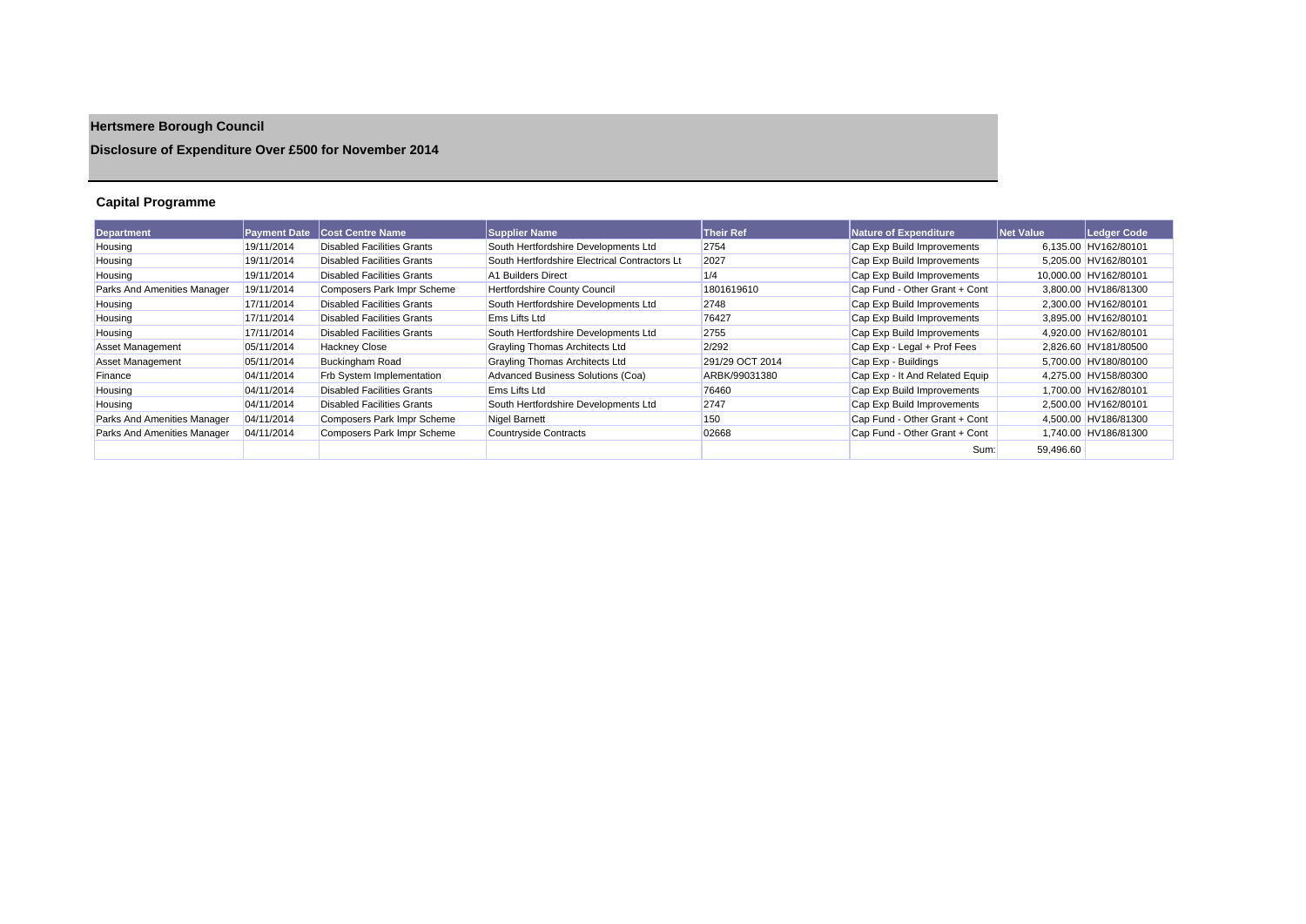# **Hertsmere Borough Council**

## **Disclosure of Expenditure Over £500 for November 2014**

## **Capital Programme**

| <b>Department</b>           | <b>Payment Date</b> | <b>Cost Centre Name</b>           | <b>Supplier Name</b>                          | <b>Their Ref</b> | Nature of Expenditure          | <b>Net Value</b> | Ledger Code           |
|-----------------------------|---------------------|-----------------------------------|-----------------------------------------------|------------------|--------------------------------|------------------|-----------------------|
| Housing                     | 19/11/2014          | <b>Disabled Facilities Grants</b> | South Hertfordshire Developments Ltd          | 2754             | Cap Exp Build Improvements     |                  | 6.135.00 HV162/80101  |
| Housing                     | 19/11/2014          | <b>Disabled Facilities Grants</b> | South Hertfordshire Electrical Contractors Lt | 2027             | Cap Exp Build Improvements     |                  | 5,205.00 HV162/80101  |
| Housing                     | 19/11/2014          | <b>Disabled Facilities Grants</b> | A1 Builders Direct                            | 1/4              | Cap Exp Build Improvements     |                  | 10,000.00 HV162/80101 |
| Parks And Amenities Manager | 19/11/2014          | Composers Park Impr Scheme        | Hertfordshire County Council                  | 1801619610       | Cap Fund - Other Grant + Cont  |                  | 3,800.00 HV186/81300  |
| Housing                     | 17/11/2014          | <b>Disabled Facilities Grants</b> | South Hertfordshire Developments Ltd          | 2748             | Cap Exp Build Improvements     |                  | 2,300.00 HV162/80101  |
| Housing                     | 17/11/2014          | <b>Disabled Facilities Grants</b> | Ems Lifts Ltd                                 | 76427            | Cap Exp Build Improvements     |                  | 3.895.00 HV162/80101  |
| Housing                     | 17/11/2014          | <b>Disabled Facilities Grants</b> | South Hertfordshire Developments Ltd          | 2755             | Cap Exp Build Improvements     |                  | 4,920.00 HV162/80101  |
| <b>Asset Management</b>     | 05/11/2014          | <b>Hackney Close</b>              | Grayling Thomas Architects Ltd                | 2/292            | Cap Exp - Legal + Prof Fees    |                  | 2,826.60 HV181/80500  |
| <b>Asset Management</b>     | 05/11/2014          | <b>Buckingham Road</b>            | Grayling Thomas Architects Ltd                | 291/29 OCT 2014  | Cap Exp - Buildings            |                  | 5,700.00 HV180/80100  |
| Finance                     | 04/11/2014          | Frb System Implementation         | Advanced Business Solutions (Coa)             | ARBK/99031380    | Cap Exp - It And Related Equip |                  | 4,275.00 HV158/80300  |
| Housing                     | 04/11/2014          | <b>Disabled Facilities Grants</b> | Ems Lifts Ltd                                 | 76460            | Cap Exp Build Improvements     |                  | 1.700.00 HV162/80101  |
| Housing                     | 04/11/2014          | <b>Disabled Facilities Grants</b> | South Hertfordshire Developments Ltd          | 2747             | Cap Exp Build Improvements     |                  | 2,500.00 HV162/80101  |
| Parks And Amenities Manager | 04/11/2014          | Composers Park Impr Scheme        | Nigel Barnett                                 | 150              | Cap Fund - Other Grant + Cont  |                  | 4,500.00 HV186/81300  |
| Parks And Amenities Manager | 04/11/2014          | Composers Park Impr Scheme        | Countryside Contracts                         | 02668            | Cap Fund - Other Grant + Cont  |                  | 1,740.00 HV186/81300  |
|                             |                     |                                   |                                               |                  | Sum:                           | 59.496.60        |                       |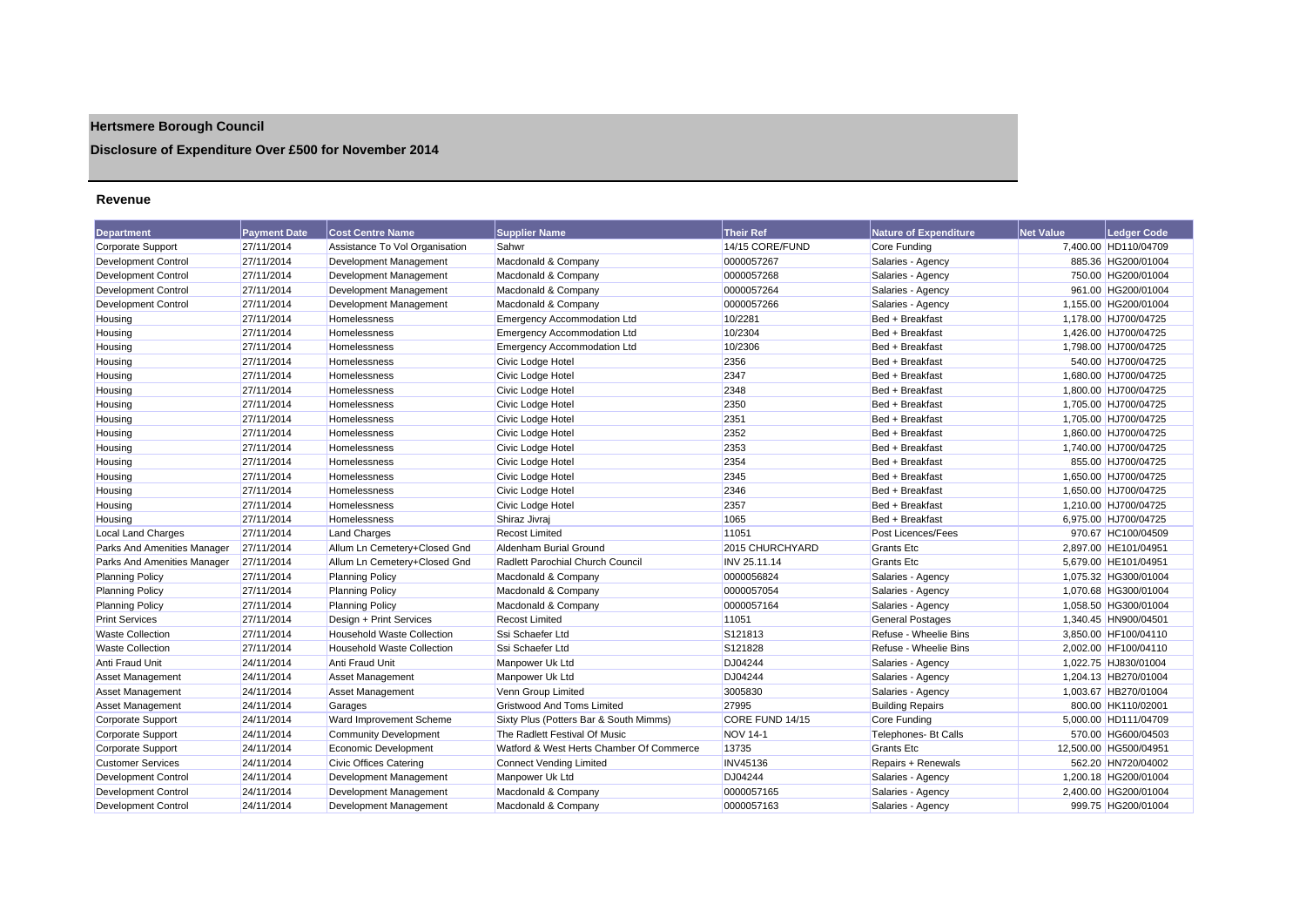## **Hertsmere Borough Council**

## **Disclosure of Expenditure Over £500 for November 2014**

#### **Revenue**

| <b>Department</b>           | <b>Payment Date</b> | <b>Cost Centre Name</b>           | <b>Supplier Name</b>                     | <b>Their Ref</b> | <b>Nature of Expenditure</b> | <b>Net Value</b> | <b>Ledger Code</b>    |
|-----------------------------|---------------------|-----------------------------------|------------------------------------------|------------------|------------------------------|------------------|-----------------------|
| Corporate Support           | 27/11/2014          | Assistance To Vol Organisation    | Sahwr                                    | 14/15 CORE/FUND  | Core Funding                 |                  | 7,400.00 HD110/04709  |
| Development Control         | 27/11/2014          | Development Management            | Macdonald & Company                      | 0000057267       | Salaries - Agency            |                  | 885.36 HG200/01004    |
| Development Control         | 27/11/2014          | Development Management            | Macdonald & Company                      | 0000057268       | Salaries - Agency            |                  | 750.00 HG200/01004    |
| <b>Development Control</b>  | 27/11/2014          | Development Management            | Macdonald & Company                      | 0000057264       | Salaries - Agency            |                  | 961.00 HG200/01004    |
| <b>Development Control</b>  | 27/11/2014          | Development Management            | Macdonald & Company                      | 0000057266       | Salaries - Agency            |                  | 1,155.00 HG200/01004  |
| Housing                     | 27/11/2014          | Homelessness                      | <b>Emergency Accommodation Ltd</b>       | 10/2281          | Bed + Breakfast              |                  | 1,178.00 HJ700/04725  |
| Housing                     | 27/11/2014          | Homelessness                      | <b>Emergency Accommodation Ltd</b>       | 10/2304          | Bed + Breakfast              |                  | 1.426.00 HJ700/04725  |
| Housing                     | 27/11/2014          | Homelessness                      | Emergency Accommodation Ltd              | 10/2306          | Bed + Breakfast              |                  | 1,798.00 HJ700/04725  |
| Housing                     | 27/11/2014          | Homelessness                      | Civic Lodge Hotel                        | 2356             | Bed + Breakfast              |                  | 540.00 HJ700/04725    |
| Housing                     | 27/11/2014          | <b>Homelessness</b>               | Civic Lodge Hotel                        | 2347             | Bed + Breakfast              |                  | 1,680.00 HJ700/04725  |
| Housing                     | 27/11/2014          | Homelessness                      | Civic Lodge Hotel                        | 2348             | Bed + Breakfast              |                  | 1,800.00 HJ700/04725  |
| Housing                     | 27/11/2014          | <b>Homelessness</b>               | Civic Lodge Hotel                        | 2350             | Bed + Breakfast              |                  | 1,705.00 HJ700/04725  |
| Housing                     | 27/11/2014          | Homelessness                      | Civic Lodge Hotel                        | 2351             | Bed + Breakfast              |                  | 1,705.00 HJ700/04725  |
| Housing                     | 27/11/2014          | Homelessness                      | Civic Lodge Hotel                        | 2352             | Bed + Breakfast              |                  | 1,860.00 HJ700/04725  |
| Housing                     | 27/11/2014          | <b>Homelessness</b>               | Civic Lodge Hotel                        | 2353             | Bed + Breakfast              |                  | 1.740.00 HJ700/04725  |
| Housing                     | 27/11/2014          | Homelessness                      | Civic Lodge Hotel                        | 2354             | Bed + Breakfast              |                  | 855.00 HJ700/04725    |
| Housing                     | 27/11/2014          | Homelessness                      | Civic Lodge Hotel                        | 2345             | Bed + Breakfast              |                  | 1,650.00 HJ700/04725  |
| Housing                     | 27/11/2014          | Homelessness                      | Civic Lodge Hotel                        | 2346             | Bed + Breakfast              |                  | 1,650.00 HJ700/04725  |
| Housing                     | 27/11/2014          | Homelessness                      | Civic Lodge Hotel                        | 2357             | Bed + Breakfast              |                  | 1,210.00 HJ700/04725  |
| Housing                     | 27/11/2014          | <b>Homelessness</b>               | Shiraz Jivraj                            | 1065             | Bed + Breakfast              |                  | 6,975.00 HJ700/04725  |
| <b>Local Land Charges</b>   | 27/11/2014          | <b>Land Charges</b>               | <b>Recost Limited</b>                    | 11051            | Post Licences/Fees           |                  | 970.67 HC100/04509    |
| Parks And Amenities Manager | 27/11/2014          | Allum Ln Cemetery+Closed Gnd      | Aldenham Burial Ground                   | 2015 CHURCHYARD  | Grants Etc                   |                  | 2,897.00 HE101/04951  |
| Parks And Amenities Manager | 27/11/2014          | Allum Ln Cemetery+Closed Gnd      | Radlett Parochial Church Council         | INV 25.11.14     | Grants Etc                   |                  | 5,679.00 HE101/04951  |
| <b>Planning Policy</b>      | 27/11/2014          | <b>Planning Policy</b>            | Macdonald & Company                      | 0000056824       | Salaries - Agency            |                  | 1,075.32 HG300/01004  |
| <b>Planning Policy</b>      | 27/11/2014          | <b>Planning Policy</b>            | Macdonald & Company                      | 0000057054       | Salaries - Agency            |                  | 1,070.68 HG300/01004  |
| <b>Planning Policy</b>      | 27/11/2014          | <b>Planning Policy</b>            | Macdonald & Company                      | 0000057164       | Salaries - Agency            |                  | 1,058.50 HG300/01004  |
| <b>Print Services</b>       | 27/11/2014          | Design + Print Services           | <b>Recost Limited</b>                    | 11051            | <b>General Postages</b>      |                  | 1,340.45 HN900/04501  |
| <b>Waste Collection</b>     | 27/11/2014          | <b>Household Waste Collection</b> | Ssi Schaefer Ltd                         | S121813          | Refuse - Wheelie Bins        |                  | 3.850.00 HF100/04110  |
| <b>Waste Collection</b>     | 27/11/2014          | <b>Household Waste Collection</b> | Ssi Schaefer Ltd                         | S121828          | Refuse - Wheelie Bins        |                  | 2,002.00 HF100/04110  |
| Anti Fraud Unit             | 24/11/2014          | Anti Fraud Unit                   | Manpower Uk Ltd                          | DJ04244          | Salaries - Agency            |                  | 1,022.75 HJ830/01004  |
| Asset Management            | 24/11/2014          | Asset Management                  | Manpower Uk Ltd                          | DJ04244          | Salaries - Agency            |                  | 1,204.13 HB270/01004  |
| Asset Management            | 24/11/2014          | <b>Asset Management</b>           | Venn Group Limited                       | 3005830          | Salaries - Agency            |                  | 1.003.67 HB270/01004  |
| <b>Asset Management</b>     | 24/11/2014          | Garages                           | <b>Gristwood And Toms Limited</b>        | 27995            | <b>Building Repairs</b>      |                  | 800.00 HK110/02001    |
| <b>Corporate Support</b>    | 24/11/2014          | Ward Improvement Scheme           | Sixty Plus (Potters Bar & South Mimms)   | CORE FUND 14/15  | <b>Core Funding</b>          |                  | 5,000.00 HD111/04709  |
| Corporate Support           | 24/11/2014          | <b>Community Development</b>      | The Radlett Festival Of Music            | <b>NOV 14-1</b>  | Telephones- Bt Calls         |                  | 570.00 HG600/04503    |
| Corporate Support           | 24/11/2014          | Economic Development              | Watford & West Herts Chamber Of Commerce | 13735            | <b>Grants Etc.</b>           |                  | 12.500.00 HG500/04951 |
| <b>Customer Services</b>    | 24/11/2014          | Civic Offices Catering            | <b>Connect Vending Limited</b>           | <b>INV45136</b>  | Repairs + Renewals           |                  | 562.20 HN720/04002    |
| Development Control         | 24/11/2014          | Development Management            | Manpower Uk Ltd                          | DJ04244          | Salaries - Agency            |                  | 1,200.18 HG200/01004  |
| Development Control         | 24/11/2014          | Development Management            | Macdonald & Company                      | 0000057165       | Salaries - Agency            |                  | 2,400.00 HG200/01004  |
| Development Control         | 24/11/2014          | Development Management            | Macdonald & Company                      | 0000057163       | Salaries - Agency            |                  | 999.75 HG200/01004    |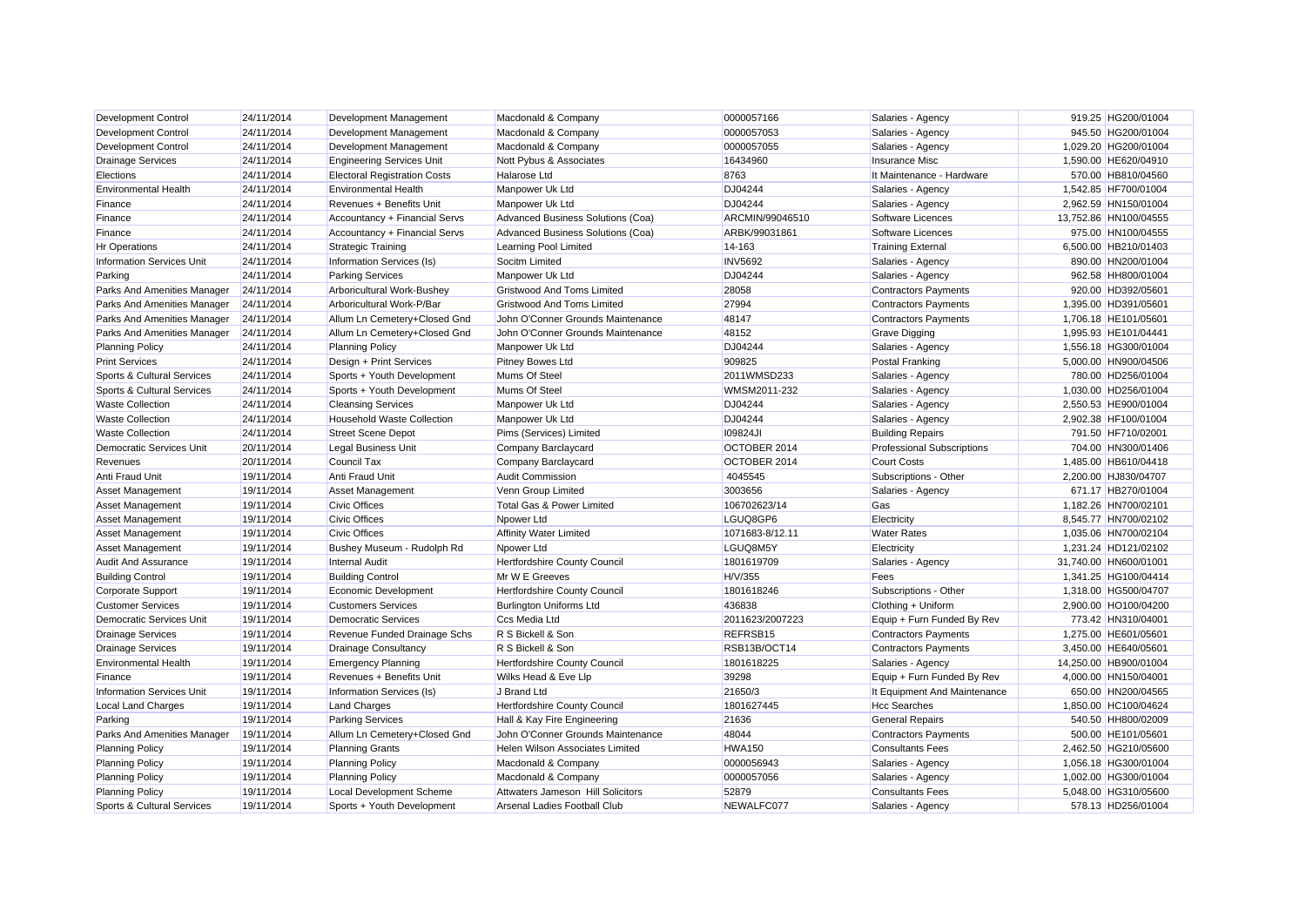| Development Control              | 24/11/2014 | Development Management              | Macdonald & Company               | 0000057166      | Salaries - Agency                 | 919.25 HG200/01004    |  |
|----------------------------------|------------|-------------------------------------|-----------------------------------|-----------------|-----------------------------------|-----------------------|--|
| <b>Development Control</b>       | 24/11/2014 | Development Management              | Macdonald & Company               | 0000057053      | Salaries - Agency                 | 945.50 HG200/01004    |  |
| <b>Development Control</b>       | 24/11/2014 | Development Management              | Macdonald & Company               | 0000057055      | Salaries - Agency                 | 1,029.20 HG200/01004  |  |
| <b>Drainage Services</b>         | 24/11/2014 | <b>Engineering Services Unit</b>    | Nott Pybus & Associates           | 16434960        | Insurance Misc                    | 1,590.00 HE620/04910  |  |
| Elections                        | 24/11/2014 | <b>Electoral Registration Costs</b> | Halarose Ltd                      | 8763            | It Maintenance - Hardware         | 570.00 HB810/04560    |  |
| <b>Environmental Health</b>      | 24/11/2014 | <b>Environmental Health</b>         | Manpower Uk Ltd                   | DJ04244         | Salaries - Agency                 | 1,542.85 HF700/01004  |  |
| Finance                          | 24/11/2014 | Revenues + Benefits Unit            | Manpower Uk Ltd                   | DJ04244         | Salaries - Agency                 | 2,962.59 HN150/01004  |  |
| Finance                          | 24/11/2014 | Accountancy + Financial Servs       | Advanced Business Solutions (Coa) | ARCMIN/99046510 | Software Licences                 | 13,752.86 HN100/04555 |  |
| Finance                          | 24/11/2014 | Accountancy + Financial Servs       | Advanced Business Solutions (Coa) | ARBK/99031861   | Software Licences                 | 975.00 HN100/04555    |  |
| <b>Hr Operations</b>             | 24/11/2014 | <b>Strategic Training</b>           | Learning Pool Limited             | 14-163          | <b>Training External</b>          | 6,500.00 HB210/01403  |  |
| <b>Information Services Unit</b> | 24/11/2014 | Information Services (Is)           | Socitm Limited                    | <b>INV5692</b>  | Salaries - Agency                 | 890.00 HN200/01004    |  |
| Parking                          | 24/11/2014 | <b>Parking Services</b>             | Manpower Uk Ltd                   | DJ04244         | Salaries - Agency                 | 962.58 HH800/01004    |  |
| Parks And Amenities Manager      | 24/11/2014 | Arboricultural Work-Bushey          | <b>Gristwood And Toms Limited</b> | 28058           | <b>Contractors Payments</b>       | 920.00 HD392/05601    |  |
| Parks And Amenities Manager      | 24/11/2014 | Arboricultural Work-P/Bar           | <b>Gristwood And Toms Limited</b> | 27994           | <b>Contractors Payments</b>       | 1.395.00 HD391/05601  |  |
| Parks And Amenities Manager      | 24/11/2014 | Allum Ln Cemetery+Closed Gnd        | John O'Conner Grounds Maintenance | 48147           | <b>Contractors Payments</b>       | 1,706.18 HE101/05601  |  |
| Parks And Amenities Manager      | 24/11/2014 | Allum Ln Cemetery+Closed Gnd        | John O'Conner Grounds Maintenance | 48152           | <b>Grave Digging</b>              | 1.995.93 HE101/04441  |  |
| <b>Planning Policy</b>           | 24/11/2014 | <b>Planning Policy</b>              | Manpower Uk Ltd                   | DJ04244         | Salaries - Agency                 | 1,556.18 HG300/01004  |  |
| <b>Print Services</b>            | 24/11/2014 | Design + Print Services             | <b>Pitney Bowes Ltd</b>           | 909825          | Postal Franking                   | 5,000.00 HN900/04506  |  |
| Sports & Cultural Services       | 24/11/2014 | Sports + Youth Development          | Mums Of Steel                     | 2011WMSD233     | Salaries - Agency                 | 780.00 HD256/01004    |  |
| Sports & Cultural Services       | 24/11/2014 | Sports + Youth Development          | Mums Of Steel                     | WMSM2011-232    | Salaries - Agency                 | 1,030.00 HD256/01004  |  |
| <b>Waste Collection</b>          | 24/11/2014 | <b>Cleansing Services</b>           | Manpower Uk Ltd                   | DJ04244         | Salaries - Agency                 | 2,550.53 HE900/01004  |  |
| <b>Waste Collection</b>          | 24/11/2014 | Household Waste Collection          | Manpower Uk Ltd                   | DJ04244         | Salaries - Agency                 | 2,902.38 HF100/01004  |  |
| <b>Waste Collection</b>          | 24/11/2014 | <b>Street Scene Depot</b>           | Pims (Services) Limited           | <b>109824JI</b> | <b>Building Repairs</b>           | 791.50 HF710/02001    |  |
| Democratic Services Unit         | 20/11/2014 | <b>Legal Business Unit</b>          | Company Barclaycard               | OCTOBER 2014    | <b>Professional Subscriptions</b> | 704.00 HN300/01406    |  |
| Revenues                         | 20/11/2014 | <b>Council Tax</b>                  | Company Barclaycard               | OCTOBER 2014    | <b>Court Costs</b>                | 1,485.00 HB610/04418  |  |
| Anti Fraud Unit                  | 19/11/2014 | Anti Fraud Unit                     | <b>Audit Commission</b>           | 4045545         | Subscriptions - Other             | 2,200.00 HJ830/04707  |  |
| Asset Management                 | 19/11/2014 | <b>Asset Management</b>             | Venn Group Limited                | 3003656         | Salaries - Agency                 | 671.17 HB270/01004    |  |
| <b>Asset Management</b>          | 19/11/2014 | <b>Civic Offices</b>                | Total Gas & Power Limited         | 106702623/14    | Gas                               | 1.182.26 HN700/02101  |  |
| <b>Asset Management</b>          | 19/11/2014 | <b>Civic Offices</b>                | Npower Ltd                        | LGUQ8GP6        | Electricity                       | 8,545.77 HN700/02102  |  |
| <b>Asset Management</b>          | 19/11/2014 | <b>Civic Offices</b>                | <b>Affinity Water Limited</b>     | 1071683-8/12.11 | <b>Water Rates</b>                | 1,035.06 HN700/02104  |  |
| <b>Asset Management</b>          | 19/11/2014 | Bushey Museum - Rudolph Rd          | Npower Ltd                        | LGUQ8M5Y        | Electricity                       | 1,231.24 HD121/02102  |  |
| <b>Audit And Assurance</b>       | 19/11/2014 | <b>Internal Audit</b>               | Hertfordshire County Council      | 1801619709      | Salaries - Agency                 | 31,740.00 HN600/01001 |  |
| <b>Building Control</b>          | 19/11/2014 | <b>Building Control</b>             | Mr W E Greeves                    | H/V/355         | Fees                              | 1,341.25 HG100/04414  |  |
| <b>Corporate Support</b>         | 19/11/2014 | Economic Development                | Hertfordshire County Council      | 1801618246      | Subscriptions - Other             | 1,318.00 HG500/04707  |  |
| <b>Customer Services</b>         | 19/11/2014 | <b>Customers Services</b>           | <b>Burlington Uniforms Ltd</b>    | 436838          | Clothing + Uniform                | 2,900.00 HO100/04200  |  |
| <b>Democratic Services Unit</b>  | 19/11/2014 | <b>Democratic Services</b>          | Ccs Media Ltd                     | 2011623/2007223 | Equip + Furn Funded By Rev        | 773.42 HN310/04001    |  |
| <b>Drainage Services</b>         | 19/11/2014 | Revenue Funded Drainage Schs        | R S Bickell & Son                 | REFRSB15        | <b>Contractors Payments</b>       | 1,275.00 HE601/05601  |  |
| <b>Drainage Services</b>         | 19/11/2014 | <b>Drainage Consultancy</b>         | R S Bickell & Son                 | RSB13B/OCT14    | <b>Contractors Payments</b>       | 3.450.00 HE640/05601  |  |
| <b>Environmental Health</b>      | 19/11/2014 | <b>Emergency Planning</b>           | Hertfordshire County Council      | 1801618225      | Salaries - Agency                 | 14,250.00 HB900/01004 |  |
| Finance                          | 19/11/2014 | Revenues + Benefits Unit            | Wilks Head & Eve Llp              | 39298           | Equip + Furn Funded By Rev        | 4,000.00 HN150/04001  |  |
| <b>Information Services Unit</b> | 19/11/2014 | Information Services (Is)           | J Brand Ltd                       | 21650/3         | It Equipment And Maintenance      | 650.00 HN200/04565    |  |
| <b>Local Land Charges</b>        | 19/11/2014 | <b>Land Charges</b>                 | Hertfordshire County Council      | 1801627445      | <b>Hcc Searches</b>               | 1,850.00 HC100/04624  |  |
| Parking                          | 19/11/2014 | <b>Parking Services</b>             | Hall & Kay Fire Engineering       | 21636           | <b>General Repairs</b>            | 540.50 HH800/02009    |  |
| Parks And Amenities Manager      | 19/11/2014 | Allum Ln Cemetery+Closed Gnd        | John O'Conner Grounds Maintenance | 48044           | <b>Contractors Payments</b>       | 500.00 HE101/05601    |  |
| <b>Planning Policy</b>           | 19/11/2014 | <b>Planning Grants</b>              | Helen Wilson Associates Limited   | <b>HWA150</b>   | <b>Consultants Fees</b>           | 2,462.50 HG210/05600  |  |
| <b>Planning Policy</b>           | 19/11/2014 | <b>Planning Policy</b>              | Macdonald & Company               | 0000056943      | Salaries - Agency                 | 1,056.18 HG300/01004  |  |
| <b>Planning Policy</b>           | 19/11/2014 | <b>Planning Policy</b>              | Macdonald & Company               | 0000057056      | Salaries - Agency                 | 1,002.00 HG300/01004  |  |
| <b>Planning Policy</b>           | 19/11/2014 | Local Development Scheme            | Attwaters Jameson Hill Solicitors | 52879           | <b>Consultants Fees</b>           | 5.048.00 HG310/05600  |  |
| Sports & Cultural Services       | 19/11/2014 | Sports + Youth Development          | Arsenal Ladies Football Club      | NEWALFC077      | Salaries - Agency                 | 578.13 HD256/01004    |  |
|                                  |            |                                     |                                   |                 |                                   |                       |  |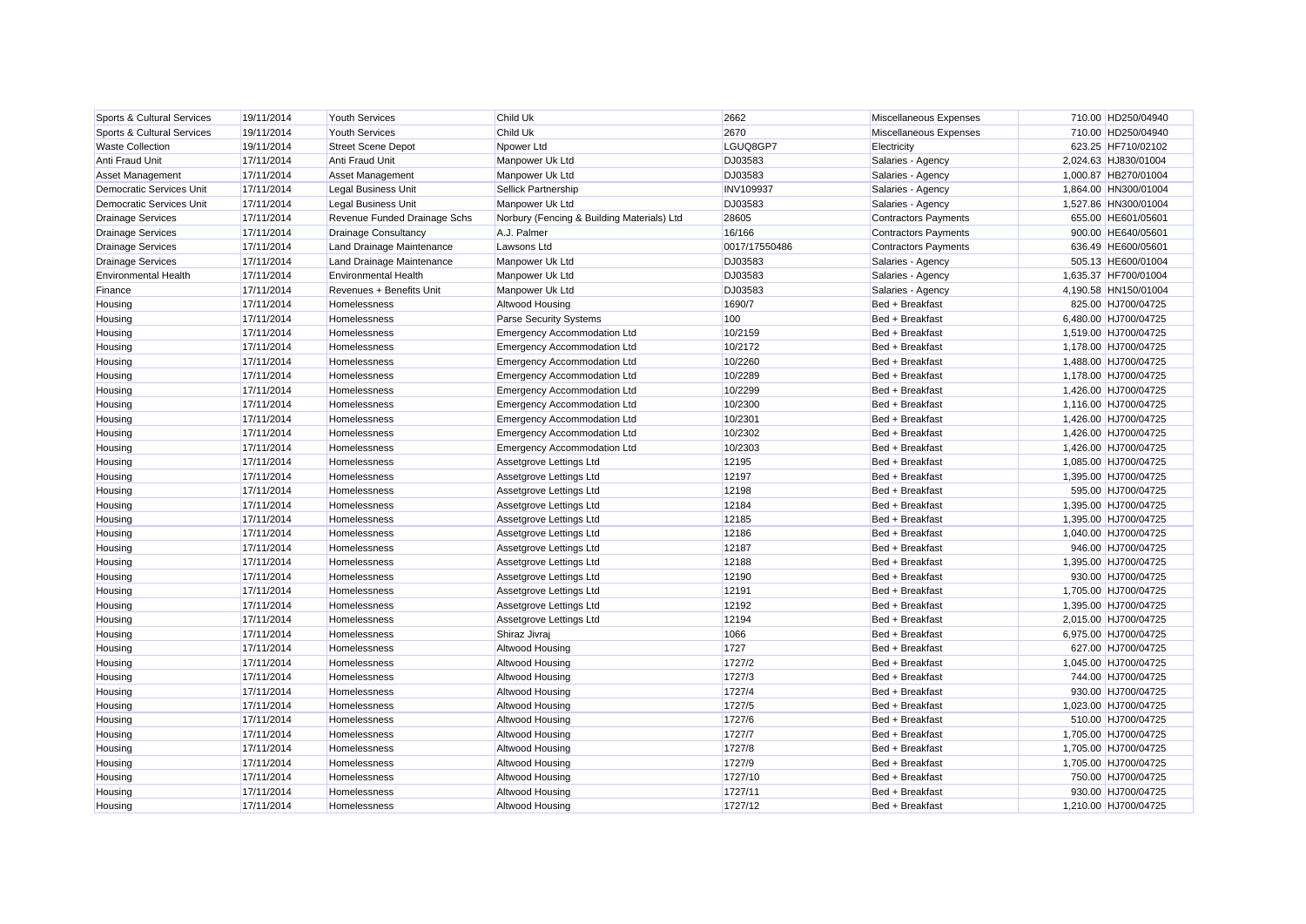| Sports & Cultural Services  | 19/11/2014 | <b>Youth Services</b>        | Child Uk                                   | 2662             | Miscellaneous Expenses      | 710.00 HD250/04940   |
|-----------------------------|------------|------------------------------|--------------------------------------------|------------------|-----------------------------|----------------------|
| Sports & Cultural Services  | 19/11/2014 | <b>Youth Services</b>        | Child Uk                                   | 2670             | Miscellaneous Expenses      | 710.00 HD250/04940   |
| <b>Waste Collection</b>     | 19/11/2014 | <b>Street Scene Depot</b>    | Npower Ltd                                 | LGUQ8GP7         | Electricity                 | 623.25 HF710/02102   |
| Anti Fraud Unit             | 17/11/2014 | Anti Fraud Unit              | Manpower Uk Ltd                            | DJ03583          | Salaries - Agency           | 2,024.63 HJ830/01004 |
| <b>Asset Management</b>     | 17/11/2014 | Asset Management             | Manpower Uk Ltd                            | DJ03583          | Salaries - Agency           | 1,000.87 HB270/01004 |
| Democratic Services Unit    | 17/11/2014 | Legal Business Unit          | <b>Sellick Partnership</b>                 | <b>INV109937</b> | Salaries - Agency           | 1,864.00 HN300/01004 |
| Democratic Services Unit    | 17/11/2014 | Legal Business Unit          | Manpower Uk Ltd                            | DJ03583          | Salaries - Agency           | 1,527.86 HN300/01004 |
| <b>Drainage Services</b>    | 17/11/2014 | Revenue Funded Drainage Schs | Norbury (Fencing & Building Materials) Ltd | 28605            | <b>Contractors Payments</b> | 655.00 HE601/05601   |
| <b>Drainage Services</b>    | 17/11/2014 | Drainage Consultancy         | A.J. Palmer                                | 16/166           | <b>Contractors Payments</b> | 900.00 HE640/05601   |
| <b>Drainage Services</b>    | 17/11/2014 | Land Drainage Maintenance    | Lawsons Ltd                                | 0017/17550486    | <b>Contractors Payments</b> | 636.49 HE600/05601   |
| <b>Drainage Services</b>    | 17/11/2014 | Land Drainage Maintenance    | Manpower Uk Ltd                            | DJ03583          | Salaries - Agency           | 505.13 HE600/01004   |
| <b>Environmental Health</b> | 17/11/2014 | <b>Environmental Health</b>  | Manpower Uk Ltd                            | DJ03583          | Salaries - Agency           | 1,635.37 HF700/01004 |
| Finance                     | 17/11/2014 | Revenues + Benefits Unit     | Manpower Uk Ltd                            | DJ03583          | Salaries - Agency           | 4,190.58 HN150/01004 |
| Housing                     | 17/11/2014 | Homelessness                 | Altwood Housing                            | 1690/7           | Bed + Breakfast             | 825.00 HJ700/04725   |
| Housing                     | 17/11/2014 | Homelessness                 | <b>Parse Security Systems</b>              | 100              | Bed + Breakfast             | 6,480.00 HJ700/04725 |
| Housing                     | 17/11/2014 | Homelessness                 | <b>Emergency Accommodation Ltd</b>         | 10/2159          | Bed + Breakfast             | 1,519.00 HJ700/04725 |
| Housing                     | 17/11/2014 | Homelessness                 | <b>Emergency Accommodation Ltd</b>         | 10/2172          | Bed + Breakfast             | 1,178.00 HJ700/04725 |
| Housing                     | 17/11/2014 | Homelessness                 | <b>Emergency Accommodation Ltd</b>         | 10/2260          | Bed + Breakfast             | 1,488.00 HJ700/04725 |
| Housing                     | 17/11/2014 | Homelessness                 | <b>Emergency Accommodation Ltd</b>         | 10/2289          | Bed + Breakfast             | 1,178.00 HJ700/04725 |
| Housing                     | 17/11/2014 | Homelessness                 | <b>Emergency Accommodation Ltd</b>         | 10/2299          | Bed + Breakfast             | 1,426.00 HJ700/04725 |
| Housing                     | 17/11/2014 | Homelessness                 | <b>Emergency Accommodation Ltd</b>         | 10/2300          | Bed + Breakfast             | 1,116.00 HJ700/04725 |
| Housing                     | 17/11/2014 | Homelessness                 | <b>Emergency Accommodation Ltd</b>         | 10/2301          | Bed + Breakfast             | 1,426.00 HJ700/04725 |
| Housing                     | 17/11/2014 | Homelessness                 | <b>Emergency Accommodation Ltd</b>         | 10/2302          | Bed + Breakfast             | 1,426.00 HJ700/04725 |
| Housing                     | 17/11/2014 | Homelessness                 | <b>Emergency Accommodation Ltd</b>         | 10/2303          | Bed + Breakfast             | 1,426.00 HJ700/04725 |
| Housing                     | 17/11/2014 | Homelessness                 | Assetgrove Lettings Ltd                    | 12195            | Bed + Breakfast             | 1,085.00 HJ700/04725 |
| Housing                     | 17/11/2014 | Homelessness                 | Assetgrove Lettings Ltd                    | 12197            | Bed + Breakfast             | 1,395.00 HJ700/04725 |
| Housing                     | 17/11/2014 | Homelessness                 | Assetgrove Lettings Ltd                    | 12198            | Bed + Breakfast             | 595.00 HJ700/04725   |
| Housing                     | 17/11/2014 | Homelessness                 | Assetgrove Lettings Ltd                    | 12184            | Bed + Breakfast             | 1.395.00 HJ700/04725 |
| Housing                     | 17/11/2014 | Homelessness                 | Assetgrove Lettings Ltd                    | 12185            | Bed + Breakfast             | 1,395.00 HJ700/04725 |
| Housing                     | 17/11/2014 | Homelessness                 | Assetgrove Lettings Ltd                    | 12186            | Bed + Breakfast             | 1,040.00 HJ700/04725 |
| Housing                     | 17/11/2014 | Homelessness                 | Assetgrove Lettings Ltd                    | 12187            | Bed + Breakfast             | 946.00 HJ700/04725   |
| Housing                     | 17/11/2014 | Homelessness                 | Assetgrove Lettings Ltd                    | 12188            | Bed + Breakfast             | 1,395.00 HJ700/04725 |
| Housing                     | 17/11/2014 | Homelessness                 | Assetgrove Lettings Ltd                    | 12190            | Bed + Breakfast             | 930.00 HJ700/04725   |
| Housing                     | 17/11/2014 | Homelessness                 | Assetgrove Lettings Ltd                    | 12191            | Bed + Breakfast             | 1,705.00 HJ700/04725 |
| Housing                     | 17/11/2014 | Homelessness                 | Assetgrove Lettings Ltd                    | 12192            | Bed + Breakfast             | 1,395.00 HJ700/04725 |
| Housing                     | 17/11/2014 | Homelessness                 | Assetgrove Lettings Ltd                    | 12194            | Bed + Breakfast             | 2,015.00 HJ700/04725 |
| Housing                     | 17/11/2014 | Homelessness                 | Shiraz Jivraj                              | 1066             | Bed + Breakfast             | 6,975.00 HJ700/04725 |
| Housing                     | 17/11/2014 | Homelessness                 | Altwood Housing                            | 1727             | Bed + Breakfast             | 627.00 HJ700/04725   |
| Housing                     | 17/11/2014 | Homelessness                 | Altwood Housing                            | 1727/2           | Bed + Breakfast             | 1,045.00 HJ700/04725 |
| Housing                     | 17/11/2014 | Homelessness                 | Altwood Housing                            | 1727/3           | Bed + Breakfast             | 744.00 HJ700/04725   |
| Housing                     | 17/11/2014 | Homelessness                 | Altwood Housing                            | 1727/4           | Bed + Breakfast             | 930.00 HJ700/04725   |
| Housing                     | 17/11/2014 | Homelessness                 | Altwood Housing                            | 1727/5           | Bed + Breakfast             | 1,023.00 HJ700/04725 |
| Housing                     | 17/11/2014 | Homelessness                 | Altwood Housing                            | 1727/6           | Bed + Breakfast             | 510.00 HJ700/04725   |
| Housing                     | 17/11/2014 | Homelessness                 | Altwood Housing                            | 1727/7           | Bed + Breakfast             | 1,705.00 HJ700/04725 |
| Housing                     | 17/11/2014 | Homelessness                 | Altwood Housing                            | 1727/8           | Bed + Breakfast             | 1,705.00 HJ700/04725 |
| Housing                     | 17/11/2014 | Homelessness                 | Altwood Housing                            | 1727/9           | Bed + Breakfast             | 1,705.00 HJ700/04725 |
| Housing                     | 17/11/2014 | Homelessness                 | Altwood Housing                            | 1727/10          | Bed + Breakfast             | 750.00 HJ700/04725   |
| Housing                     | 17/11/2014 | Homelessness                 | Altwood Housing                            | 1727/11          | Bed + Breakfast             | 930.00 HJ700/04725   |
| Housing                     | 17/11/2014 | Homelessness                 | Altwood Housing                            | 1727/12          | Bed + Breakfast             | 1.210.00 HJ700/04725 |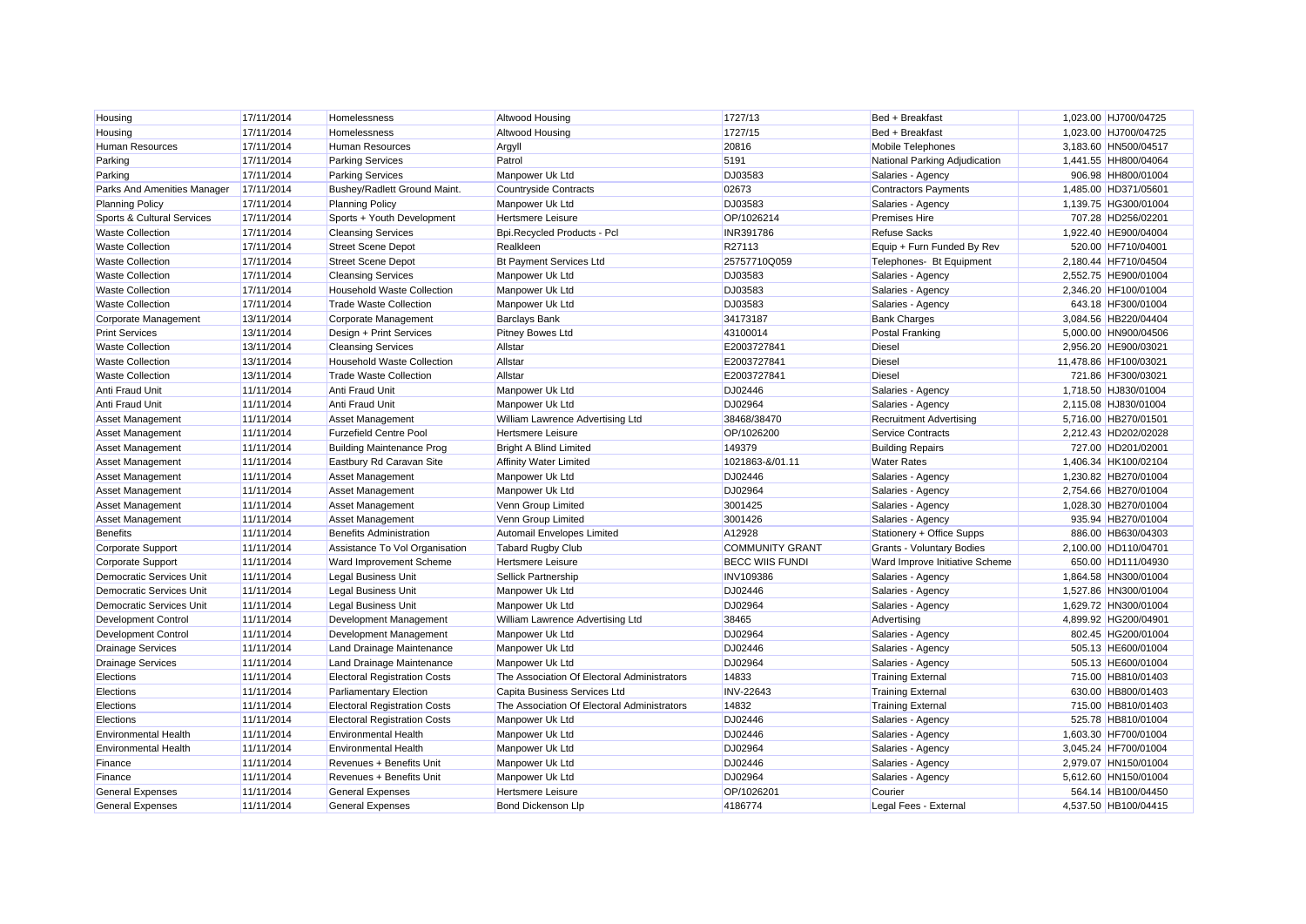| Housing                     | 17/11/2014 | Homelessness                        | <b>Altwood Housing</b>                      | 1727/13                | Bed + Breakfast                | 1,023.00 HJ700/04725  |  |
|-----------------------------|------------|-------------------------------------|---------------------------------------------|------------------------|--------------------------------|-----------------------|--|
| Housing                     | 17/11/2014 | Homelessness                        | Altwood Housing                             | 1727/15                | Bed + Breakfast                | 1,023.00 HJ700/04725  |  |
| <b>Human Resources</b>      | 17/11/2014 | <b>Human Resources</b>              | Argyll                                      | 20816                  | Mobile Telephones              | 3,183.60 HN500/04517  |  |
| Parking                     | 17/11/2014 | <b>Parking Services</b>             | Patrol                                      | 5191                   | National Parking Adjudication  | 1,441.55 HH800/04064  |  |
| Parking                     | 17/11/2014 | <b>Parking Services</b>             | Manpower Uk Ltd                             | DJ03583                | Salaries - Agency              | 906.98 HH800/01004    |  |
| Parks And Amenities Manager | 17/11/2014 | Bushey/Radlett Ground Maint.        | <b>Countryside Contracts</b>                | 02673                  | <b>Contractors Payments</b>    | 1.485.00 HD371/05601  |  |
| <b>Planning Policy</b>      | 17/11/2014 | <b>Planning Policy</b>              | Manpower Uk Ltd                             | DJ03583                | Salaries - Agency              | 1,139.75 HG300/01004  |  |
| Sports & Cultural Services  | 17/11/2014 | Sports + Youth Development          | <b>Hertsmere Leisure</b>                    | OP/1026214             | <b>Premises Hire</b>           | 707.28 HD256/02201    |  |
| <b>Waste Collection</b>     | 17/11/2014 | <b>Cleansing Services</b>           | Bpi.Recycled Products - Pcl                 | INR391786              | <b>Refuse Sacks</b>            | 1,922.40 HE900/04004  |  |
| <b>Waste Collection</b>     | 17/11/2014 | <b>Street Scene Depot</b>           | Realkleen                                   | R27113                 | Equip + Furn Funded By Rev     | 520.00 HF710/04001    |  |
| <b>Waste Collection</b>     | 17/11/2014 | <b>Street Scene Depot</b>           | <b>Bt Payment Services Ltd</b>              | 25757710Q059           | Telephones- Bt Equipment       | 2,180.44 HF710/04504  |  |
| <b>Waste Collection</b>     | 17/11/2014 | <b>Cleansing Services</b>           | Manpower Uk Ltd                             | DJ03583                | Salaries - Agency              | 2,552.75 HE900/01004  |  |
| <b>Waste Collection</b>     | 17/11/2014 | <b>Household Waste Collection</b>   | Manpower Uk Ltd                             | DJ03583                | Salaries - Agency              | 2,346.20 HF100/01004  |  |
| <b>Waste Collection</b>     | 17/11/2014 | <b>Trade Waste Collection</b>       | Manpower Uk Ltd                             | DJ03583                | Salaries - Agency              | 643.18 HF300/01004    |  |
| Corporate Management        | 13/11/2014 | Corporate Management                | <b>Barclays Bank</b>                        | 34173187               | <b>Bank Charges</b>            | 3,084.56 HB220/04404  |  |
| <b>Print Services</b>       | 13/11/2014 | Design + Print Services             | <b>Pitney Bowes Ltd</b>                     | 43100014               | <b>Postal Franking</b>         | 5.000.00 HN900/04506  |  |
| <b>Waste Collection</b>     | 13/11/2014 | <b>Cleansing Services</b>           | Allstar                                     | E2003727841            | <b>Diesel</b>                  | 2,956.20 HE900/03021  |  |
| <b>Waste Collection</b>     | 13/11/2014 | <b>Household Waste Collection</b>   | Allstar                                     | E2003727841            | <b>Diesel</b>                  | 11,478.86 HF100/03021 |  |
| <b>Waste Collection</b>     | 13/11/2014 | <b>Trade Waste Collection</b>       | Allstar                                     | E2003727841            | <b>Diesel</b>                  | 721.86 HF300/03021    |  |
| Anti Fraud Unit             | 11/11/2014 | Anti Fraud Unit                     | Manpower Uk Ltd                             | DJ02446                | Salaries - Agency              | 1,718.50 HJ830/01004  |  |
| Anti Fraud Unit             | 11/11/2014 | Anti Fraud Unit                     | Manpower Uk Ltd                             | DJ02964                | Salaries - Agency              | 2,115.08 HJ830/01004  |  |
| Asset Management            | 11/11/2014 | <b>Asset Management</b>             | William Lawrence Advertising Ltd            | 38468/38470            | <b>Recruitment Advertising</b> | 5,716.00 HB270/01501  |  |
| Asset Management            | 11/11/2014 | <b>Furzefield Centre Pool</b>       | <b>Hertsmere Leisure</b>                    | OP/1026200             | <b>Service Contracts</b>       | 2,212.43 HD202/02028  |  |
| Asset Management            | 11/11/2014 | <b>Building Maintenance Prog</b>    | <b>Bright A Blind Limited</b>               | 149379                 | <b>Building Repairs</b>        | 727.00 HD201/02001    |  |
| Asset Management            | 11/11/2014 | Eastbury Rd Caravan Site            | <b>Affinity Water Limited</b>               | 1021863-&/01.11        | <b>Water Rates</b>             | 1,406.34 HK100/02104  |  |
| Asset Management            | 11/11/2014 | <b>Asset Management</b>             | Manpower Uk Ltd                             | DJ02446                | Salaries - Agency              | 1,230.82 HB270/01004  |  |
| Asset Management            | 11/11/2014 | Asset Management                    | Manpower Uk Ltd                             | DJ02964                | Salaries - Agency              | 2,754.66 HB270/01004  |  |
| Asset Management            | 11/11/2014 | <b>Asset Management</b>             | Venn Group Limited                          | 3001425                | Salaries - Agency              | 1,028.30 HB270/01004  |  |
| Asset Management            | 11/11/2014 | Asset Management                    | Venn Group Limited                          | 3001426                | Salaries - Agency              | 935.94 HB270/01004    |  |
| <b>Benefits</b>             | 11/11/2014 | <b>Benefits Administration</b>      | Automail Envelopes Limited                  | A12928                 | Stationery + Office Supps      | 886.00 HB630/04303    |  |
| Corporate Support           | 11/11/2014 | Assistance To Vol Organisation      | <b>Tabard Rugby Club</b>                    | <b>COMMUNITY GRANT</b> | Grants - Voluntary Bodies      | 2,100.00 HD110/04701  |  |
| <b>Corporate Support</b>    | 11/11/2014 | Ward Improvement Scheme             | <b>Hertsmere Leisure</b>                    | <b>BECC WIIS FUNDI</b> | Ward Improve Initiative Scheme | 650.00 HD111/04930    |  |
| Democratic Services Unit    | 11/11/2014 | <b>Legal Business Unit</b>          | Sellick Partnership                         | <b>INV109386</b>       | Salaries - Agency              | 1,864.58 HN300/01004  |  |
| Democratic Services Unit    | 11/11/2014 | <b>Legal Business Unit</b>          | Manpower Uk Ltd                             | DJ02446                | Salaries - Agency              | 1,527.86 HN300/01004  |  |
| Democratic Services Unit    | 11/11/2014 | <b>Legal Business Unit</b>          | Manpower Uk Ltd                             | DJ02964                | Salaries - Agency              | 1,629.72 HN300/01004  |  |
| <b>Development Control</b>  | 11/11/2014 | Development Management              | William Lawrence Advertising Ltd            | 38465                  | Advertising                    | 4,899.92 HG200/04901  |  |
| <b>Development Control</b>  | 11/11/2014 | Development Management              | Manpower Uk Ltd                             | DJ02964                | Salaries - Agency              | 802.45 HG200/01004    |  |
| <b>Drainage Services</b>    | 11/11/2014 | Land Drainage Maintenance           | Manpower Uk Ltd                             | DJ02446                | Salaries - Agency              | 505.13 HE600/01004    |  |
| <b>Drainage Services</b>    | 11/11/2014 | Land Drainage Maintenance           | Manpower Uk Ltd                             | DJ02964                | Salaries - Agency              | 505.13 HE600/01004    |  |
| Elections                   | 11/11/2014 | <b>Electoral Registration Costs</b> | The Association Of Electoral Administrators | 14833                  | Training External              | 715.00 HB810/01403    |  |
| Elections                   | 11/11/2014 | <b>Parliamentary Election</b>       | Capita Business Services Ltd                | <b>INV-22643</b>       | <b>Training External</b>       | 630.00 HB800/01403    |  |
| Elections                   | 11/11/2014 | <b>Electoral Registration Costs</b> | The Association Of Electoral Administrators | 14832                  | <b>Training External</b>       | 715.00 HB810/01403    |  |
| Elections                   | 11/11/2014 | <b>Electoral Registration Costs</b> | Manpower Uk Ltd                             | DJ02446                | Salaries - Agency              | 525.78 HB810/01004    |  |
| <b>Environmental Health</b> | 11/11/2014 | <b>Environmental Health</b>         | Manpower Uk Ltd                             | DJ02446                | Salaries - Agency              | 1,603.30 HF700/01004  |  |
| <b>Environmental Health</b> | 11/11/2014 | <b>Environmental Health</b>         | Manpower Uk Ltd                             | DJ02964                | Salaries - Agency              | 3,045.24 HF700/01004  |  |
| Finance                     | 11/11/2014 | Revenues + Benefits Unit            | Manpower Uk Ltd                             | DJ02446                | Salaries - Agency              | 2,979.07 HN150/01004  |  |
| Finance                     | 11/11/2014 | Revenues + Benefits Unit            | Manpower Uk Ltd                             | DJ02964                | Salaries - Agency              | 5,612.60 HN150/01004  |  |
| <b>General Expenses</b>     | 11/11/2014 | <b>General Expenses</b>             | <b>Hertsmere Leisure</b>                    | OP/1026201             | Courier                        | 564.14 HB100/04450    |  |
| <b>General Expenses</b>     | 11/11/2014 | <b>General Expenses</b>             | Bond Dickenson Llp                          | 4186774                | Legal Fees - External          | 4.537.50 HB100/04415  |  |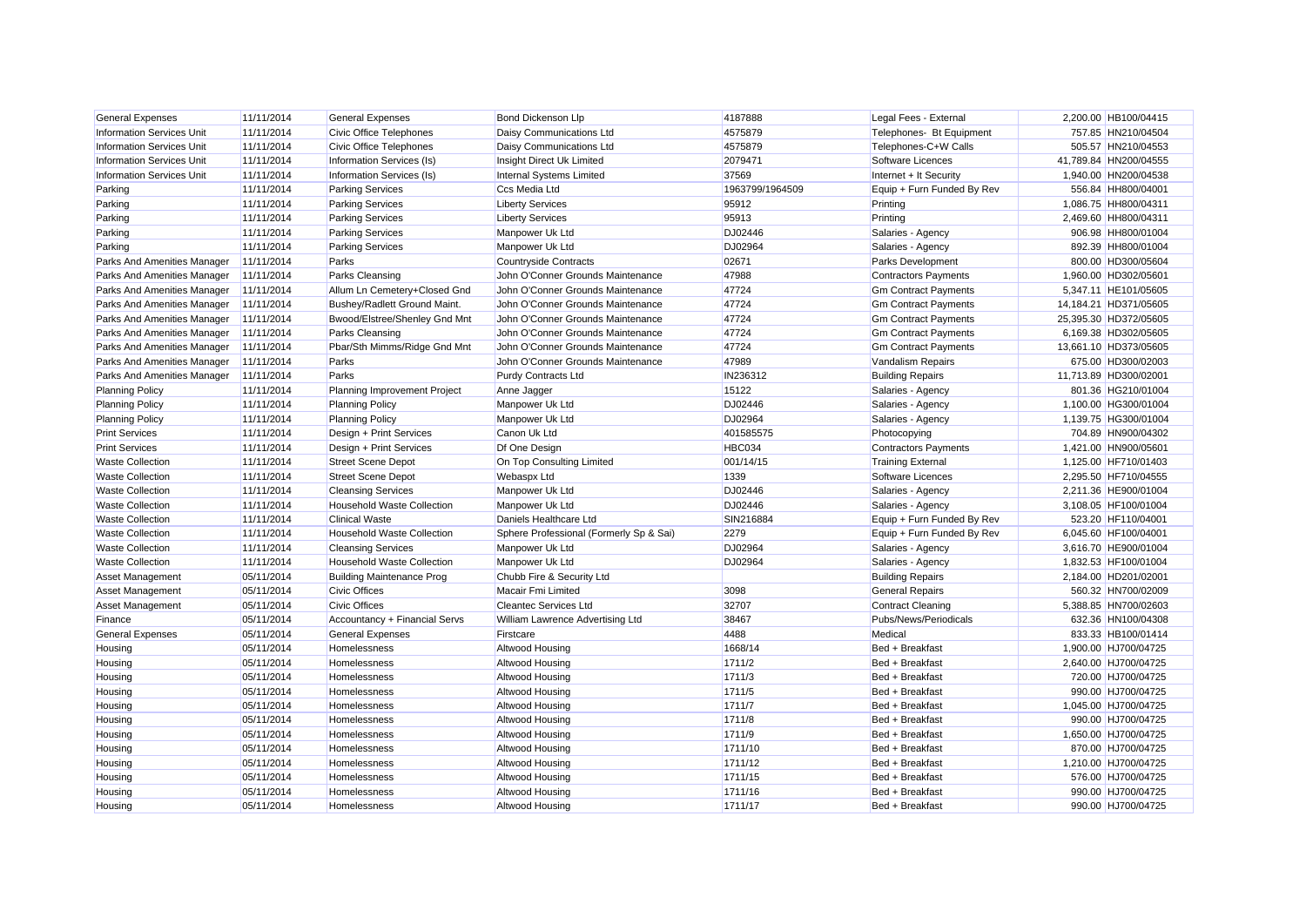| <b>General Expenses</b>                | 11/11/2014 | <b>General Expenses</b>           | Bond Dickenson Llp                      | 4187888         | Legal Fees - External       | 2,200.00 HB100/04415  |
|----------------------------------------|------------|-----------------------------------|-----------------------------------------|-----------------|-----------------------------|-----------------------|
| <b>Information Services Unit</b>       | 11/11/2014 | Civic Office Telephones           | Daisy Communications Ltd                | 4575879         | Telephones- Bt Equipment    | 757.85 HN210/04504    |
| <b>Information Services Unit</b>       | 11/11/2014 | Civic Office Telephones           | Daisy Communications Ltd                | 4575879         | Telephones-C+W Calls        | 505.57 HN210/04553    |
| <b>Information Services Unit</b>       | 11/11/2014 | Information Services (Is)         | Insight Direct Uk Limited               | 2079471         | Software Licences           | 41,789.84 HN200/04555 |
| <b>Information Services Unit</b>       | 11/11/2014 | Information Services (Is)         | Internal Systems Limited                | 37569           | Internet + It Security      | 1,940.00 HN200/04538  |
| Parking                                | 11/11/2014 | <b>Parking Services</b>           | Ccs Media Ltd                           | 1963799/1964509 | Equip + Furn Funded By Rev  | 556.84 HH800/04001    |
| Parking                                | 11/11/2014 | <b>Parking Services</b>           | <b>Liberty Services</b>                 | 95912           | Printing                    | 1,086.75 HH800/04311  |
| Parking                                | 11/11/2014 | <b>Parking Services</b>           | <b>Liberty Services</b>                 | 95913           | Printing                    | 2,469.60 HH800/04311  |
| Parking                                | 11/11/2014 | <b>Parking Services</b>           | Manpower Uk Ltd                         | DJ02446         | Salaries - Agency           | 906.98 HH800/01004    |
| Parking                                | 11/11/2014 | <b>Parking Services</b>           | Manpower Uk Ltd                         | DJ02964         | Salaries - Agency           | 892.39 HH800/01004    |
| Parks And Amenities Manager            | 11/11/2014 | Parks                             | <b>Countryside Contracts</b>            | 02671           | Parks Development           | 800.00 HD300/05604    |
| Parks And Amenities Manager            | 11/11/2014 | <b>Parks Cleansing</b>            | John O'Conner Grounds Maintenance       | 47988           | <b>Contractors Payments</b> | 1,960.00 HD302/05601  |
| Parks And Amenities Manager            | 11/11/2014 | Allum Ln Cemetery+Closed Gnd      | John O'Conner Grounds Maintenance       | 47724           | <b>Gm Contract Payments</b> | 5,347.11 HE101/05605  |
| Parks And Amenities Manager            | 11/11/2014 | Bushey/Radlett Ground Maint.      | John O'Conner Grounds Maintenance       | 47724           | <b>Gm Contract Payments</b> | 14,184.21 HD371/05605 |
| Parks And Amenities Manager            | 11/11/2014 | Bwood/Elstree/Shenley Gnd Mnt     | John O'Conner Grounds Maintenance       | 47724           | <b>Gm Contract Payments</b> | 25,395.30 HD372/05605 |
| Parks And Amenities Manager            | 11/11/2014 | Parks Cleansing                   | John O'Conner Grounds Maintenance       | 47724           | <b>Gm Contract Payments</b> | 6.169.38 HD302/05605  |
| Parks And Amenities Manager            | 11/11/2014 | Pbar/Sth Mimms/Ridge Gnd Mnt      | John O'Conner Grounds Maintenance       | 47724           | <b>Gm Contract Payments</b> | 13,661.10 HD373/05605 |
| Parks And Amenities Manager            | 11/11/2014 | Parks                             | John O'Conner Grounds Maintenance       | 47989           | Vandalism Repairs           | 675.00 HD300/02003    |
| Parks And Amenities Manager 11/11/2014 |            | Parks                             | <b>Purdy Contracts Ltd</b>              | IN236312        | <b>Building Repairs</b>     | 11,713.89 HD300/02001 |
| <b>Planning Policy</b>                 | 11/11/2014 | Planning Improvement Project      | Anne Jagger                             | 15122           | Salaries - Agency           | 801.36 HG210/01004    |
| <b>Planning Policy</b>                 | 11/11/2014 | <b>Planning Policy</b>            | Manpower Uk Ltd                         | DJ02446         | Salaries - Agency           | 1,100.00 HG300/01004  |
| <b>Planning Policy</b>                 | 11/11/2014 | <b>Planning Policy</b>            | Manpower Uk Ltd                         | DJ02964         | Salaries - Agency           | 1,139.75 HG300/01004  |
| <b>Print Services</b>                  | 11/11/2014 | Design + Print Services           | Canon Uk Ltd                            | 401585575       | Photocopying                | 704.89 HN900/04302    |
| <b>Print Services</b>                  | 11/11/2014 | Design + Print Services           | Df One Design                           | HBC034          | <b>Contractors Payments</b> | 1,421.00 HN900/05601  |
| <b>Waste Collection</b>                | 11/11/2014 | <b>Street Scene Depot</b>         | On Top Consulting Limited               | 001/14/15       | <b>Training External</b>    | 1,125.00 HF710/01403  |
| <b>Waste Collection</b>                | 11/11/2014 | <b>Street Scene Depot</b>         | <b>Webaspx Ltd</b>                      | 1339            | Software Licences           | 2,295.50 HF710/04555  |
| <b>Waste Collection</b>                | 11/11/2014 | <b>Cleansing Services</b>         | Manpower Uk Ltd                         | DJ02446         | Salaries - Agency           | 2,211.36 HE900/01004  |
| <b>Waste Collection</b>                | 11/11/2014 | <b>Household Waste Collection</b> | Manpower Uk Ltd                         | DJ02446         | Salaries - Agency           | 3,108.05 HF100/01004  |
| <b>Waste Collection</b>                | 11/11/2014 | <b>Clinical Waste</b>             | Daniels Healthcare Ltd                  | SIN216884       | Equip + Furn Funded By Rev  | 523.20 HF110/04001    |
| <b>Waste Collection</b>                | 11/11/2014 | Household Waste Collection        | Sphere Professional (Formerly Sp & Sai) | 2279            | Equip + Furn Funded By Rev  | 6,045.60 HF100/04001  |
| <b>Waste Collection</b>                | 11/11/2014 | <b>Cleansing Services</b>         | Manpower Uk Ltd                         | DJ02964         | Salaries - Agency           | 3,616.70 HE900/01004  |
| <b>Waste Collection</b>                | 11/11/2014 | <b>Household Waste Collection</b> | Manpower Uk Ltd                         | DJ02964         | Salaries - Agency           | 1,832.53 HF100/01004  |
| Asset Management                       | 05/11/2014 | <b>Building Maintenance Prog</b>  | Chubb Fire & Security Ltd               |                 | <b>Building Repairs</b>     | 2,184.00 HD201/02001  |
| Asset Management                       | 05/11/2014 | <b>Civic Offices</b>              | Macair Fmi Limited                      | 3098            | <b>General Repairs</b>      | 560.32 HN700/02009    |
| Asset Management                       | 05/11/2014 | <b>Civic Offices</b>              | <b>Cleantec Services Ltd</b>            | 32707           | <b>Contract Cleaning</b>    | 5,388.85 HN700/02603  |
| Finance                                | 05/11/2014 | Accountancy + Financial Servs     | William Lawrence Advertising Ltd        | 38467           | Pubs/News/Periodicals       | 632.36 HN100/04308    |
| <b>General Expenses</b>                | 05/11/2014 | <b>General Expenses</b>           | Firstcare                               | 4488            | Medical                     | 833.33 HB100/01414    |
| Housing                                | 05/11/2014 | <b>Homelessness</b>               | Altwood Housing                         | 1668/14         | Bed + Breakfast             | 1,900.00 HJ700/04725  |
| Housing                                | 05/11/2014 | <b>Homelessness</b>               | Altwood Housing                         | 1711/2          | Bed + Breakfast             | 2.640.00 HJ700/04725  |
| Housing                                | 05/11/2014 | Homelessness                      | <b>Altwood Housing</b>                  | 1711/3          | Bed + Breakfast             | 720.00 HJ700/04725    |
| Housing                                | 05/11/2014 | <b>Homelessness</b>               | Altwood Housing                         | 1711/5          | Bed + Breakfast             | 990.00 HJ700/04725    |
| Housing                                | 05/11/2014 | Homelessness                      | Altwood Housing                         | 1711/7          | Bed + Breakfast             | 1,045.00 HJ700/04725  |
| Housing                                | 05/11/2014 | Homelessness                      | Altwood Housing                         | 1711/8          | Bed + Breakfast             | 990.00 HJ700/04725    |
| Housing                                | 05/11/2014 | Homelessness                      | Altwood Housing                         | 1711/9          | Bed + Breakfast             | 1,650.00 HJ700/04725  |
| Housing                                | 05/11/2014 | Homelessness                      | Altwood Housing                         | 1711/10         | Bed + Breakfast             | 870.00 HJ700/04725    |
| Housing                                | 05/11/2014 | Homelessness                      | Altwood Housing                         | 1711/12         | Bed + Breakfast             | 1,210.00 HJ700/04725  |
| Housing                                | 05/11/2014 | Homelessness                      | Altwood Housing                         | 1711/15         | Bed + Breakfast             | 576.00 HJ700/04725    |
| Housing                                | 05/11/2014 | <b>Homelessness</b>               | Altwood Housing                         | 1711/16         | Bed + Breakfast             | 990.00 HJ700/04725    |
| Housing                                | 05/11/2014 | Homelessness                      | Altwood Housing                         | 1711/17         | Bed + Breakfast             | 990.00 HJ700/04725    |
|                                        |            |                                   |                                         |                 |                             |                       |